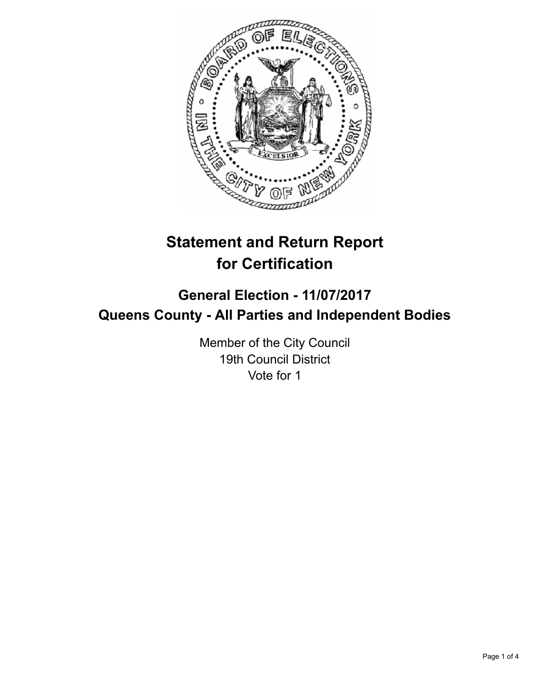

# **Statement and Return Report for Certification**

# **General Election - 11/07/2017 Queens County - All Parties and Independent Bodies**

Member of the City Council 19th Council District Vote for 1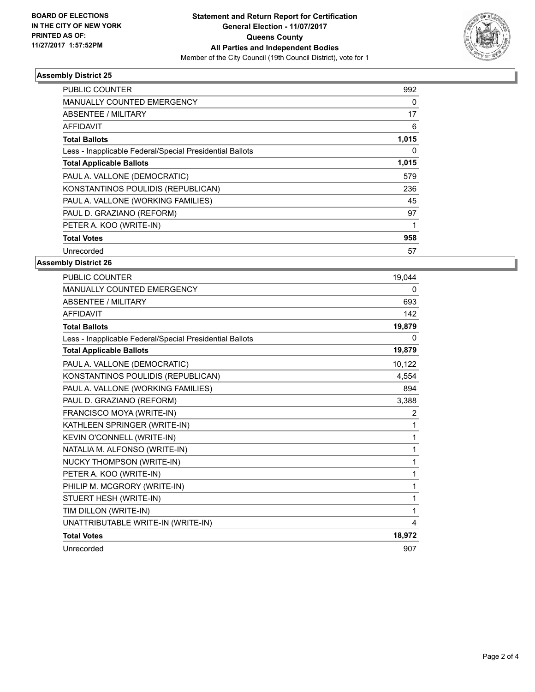

### **Assembly District 25**

| <b>PUBLIC COUNTER</b>                                    | 992   |
|----------------------------------------------------------|-------|
| <b>MANUALLY COUNTED EMERGENCY</b>                        | 0     |
| ABSENTEE / MILITARY                                      | 17    |
| <b>AFFIDAVIT</b>                                         | 6     |
| <b>Total Ballots</b>                                     | 1,015 |
| Less - Inapplicable Federal/Special Presidential Ballots | 0     |
| <b>Total Applicable Ballots</b>                          | 1,015 |
| PAUL A. VALLONE (DEMOCRATIC)                             | 579   |
| KONSTANTINOS POULIDIS (REPUBLICAN)                       | 236   |
| PAUL A. VALLONE (WORKING FAMILIES)                       | 45    |
| PAUL D. GRAZIANO (REFORM)                                | 97    |
| PETER A. KOO (WRITE-IN)                                  |       |
| <b>Total Votes</b>                                       | 958   |
| Unrecorded                                               | 57    |

### **Assembly District 26**

| PUBLIC COUNTER                                           | 19,044   |
|----------------------------------------------------------|----------|
| MANUALLY COUNTED EMERGENCY                               | 0        |
| <b>ABSENTEE / MILITARY</b>                               | 693      |
| <b>AFFIDAVIT</b>                                         | 142      |
| <b>Total Ballots</b>                                     | 19,879   |
| Less - Inapplicable Federal/Special Presidential Ballots | $\Omega$ |
| <b>Total Applicable Ballots</b>                          | 19,879   |
| PAUL A. VALLONE (DEMOCRATIC)                             | 10,122   |
| KONSTANTINOS POULIDIS (REPUBLICAN)                       | 4,554    |
| PAUL A. VALLONE (WORKING FAMILIES)                       | 894      |
| PAUL D. GRAZIANO (REFORM)                                | 3,388    |
| FRANCISCO MOYA (WRITE-IN)                                | 2        |
| KATHLEEN SPRINGER (WRITE-IN)                             | 1        |
| KEVIN O'CONNELL (WRITE-IN)                               | 1        |
| NATALIA M. ALFONSO (WRITE-IN)                            | 1        |
| NUCKY THOMPSON (WRITE-IN)                                | 1        |
| PETER A. KOO (WRITE-IN)                                  | 1        |
| PHILIP M. MCGRORY (WRITE-IN)                             | 1        |
| STUERT HESH (WRITE-IN)                                   | 1        |
| TIM DILLON (WRITE-IN)                                    | 1        |
| UNATTRIBUTABLE WRITE-IN (WRITE-IN)                       | 4        |
| <b>Total Votes</b>                                       | 18,972   |
| Unrecorded                                               | 907      |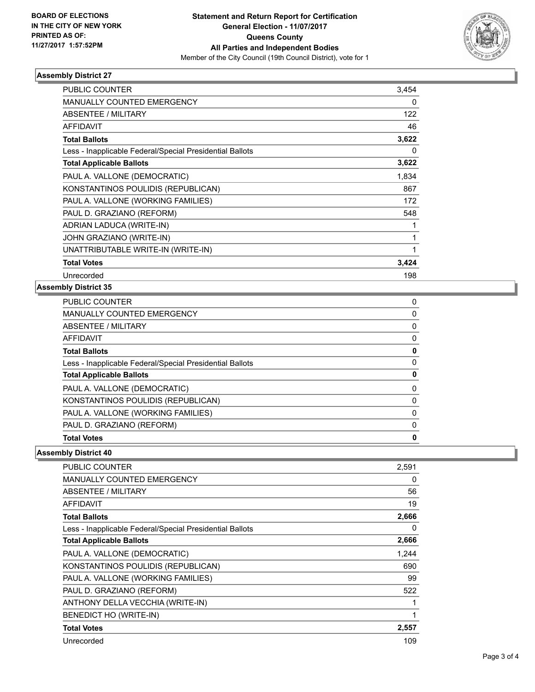

### **Assembly District 27**

| PUBLIC COUNTER                                           | 3,454 |
|----------------------------------------------------------|-------|
| <b>MANUALLY COUNTED EMERGENCY</b>                        | 0     |
| <b>ABSENTEE / MILITARY</b>                               | 122   |
| <b>AFFIDAVIT</b>                                         | 46    |
| <b>Total Ballots</b>                                     | 3,622 |
| Less - Inapplicable Federal/Special Presidential Ballots | 0     |
| <b>Total Applicable Ballots</b>                          | 3,622 |
| PAUL A. VALLONE (DEMOCRATIC)                             | 1,834 |
| KONSTANTINOS POULIDIS (REPUBLICAN)                       | 867   |
| PAUL A. VALLONE (WORKING FAMILIES)                       | 172   |
| PAUL D. GRAZIANO (REFORM)                                | 548   |
| ADRIAN LADUCA (WRITE-IN)                                 |       |
| JOHN GRAZIANO (WRITE-IN)                                 |       |
| UNATTRIBUTABLE WRITE-IN (WRITE-IN)                       |       |
| <b>Total Votes</b>                                       | 3,424 |
| Unrecorded                                               | 198   |

#### **Assembly District 35**

| <b>PUBLIC COUNTER</b>                                    | 0 |
|----------------------------------------------------------|---|
| <b>MANUALLY COUNTED EMERGENCY</b>                        | 0 |
| ABSENTEE / MILITARY                                      | 0 |
| AFFIDAVIT                                                | 0 |
| <b>Total Ballots</b>                                     | 0 |
| Less - Inapplicable Federal/Special Presidential Ballots | 0 |
| <b>Total Applicable Ballots</b>                          | 0 |
| PAUL A. VALLONE (DEMOCRATIC)                             | 0 |
| KONSTANTINOS POULIDIS (REPUBLICAN)                       | 0 |
| PAUL A. VALLONE (WORKING FAMILIES)                       | 0 |
| PAUL D. GRAZIANO (REFORM)                                | 0 |
| <b>Total Votes</b>                                       | 0 |
|                                                          |   |

## **Assembly District 40**

| <b>PUBLIC COUNTER</b>                                    | 2,591 |
|----------------------------------------------------------|-------|
| <b>MANUALLY COUNTED EMERGENCY</b>                        | 0     |
| <b>ABSENTEE / MILITARY</b>                               | 56    |
| <b>AFFIDAVIT</b>                                         | 19    |
| <b>Total Ballots</b>                                     | 2,666 |
| Less - Inapplicable Federal/Special Presidential Ballots | 0     |
| <b>Total Applicable Ballots</b>                          | 2,666 |
| PAUL A. VALLONE (DEMOCRATIC)                             | 1,244 |
| KONSTANTINOS POULIDIS (REPUBLICAN)                       | 690   |
| PAUL A. VALLONE (WORKING FAMILIES)                       | 99    |
| PAUL D. GRAZIANO (REFORM)                                | 522   |
| ANTHONY DELLA VECCHIA (WRITE-IN)                         | 1     |
| BENEDICT HO (WRITE-IN)                                   | 1     |
| <b>Total Votes</b>                                       | 2,557 |
| Unrecorded                                               | 109   |